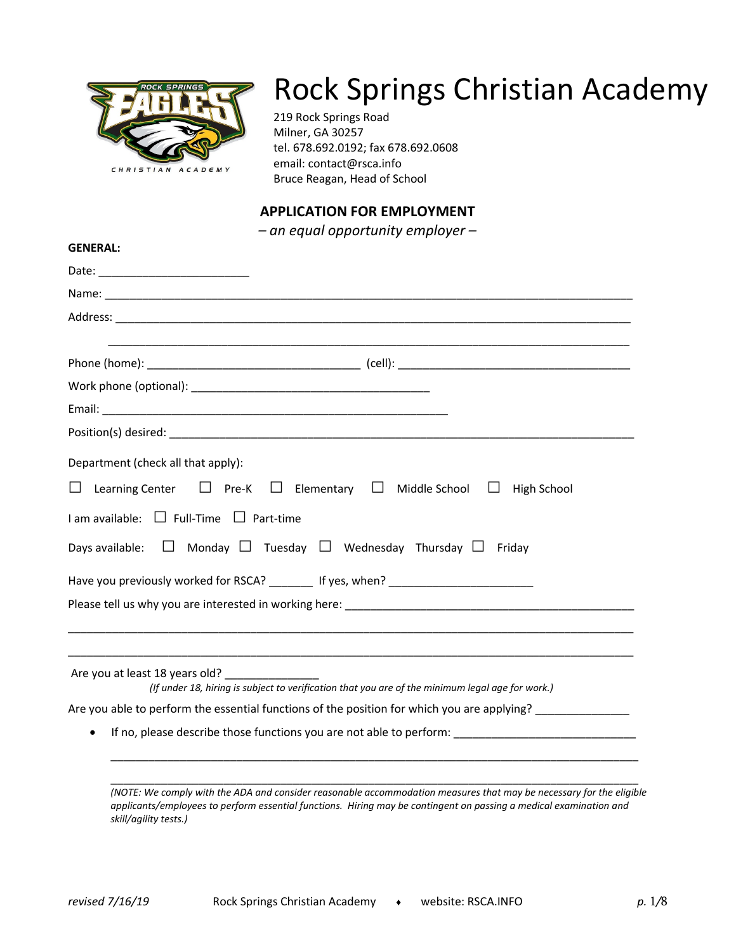

# Rock Springs Christian Academy

219 Rock Springs Road Milner, GA 30257 tel. 678.692.0192; fax 678.692.0608 email: contact@rsca.info Bruce Reagan, Head of School

# **APPLICATION FOR EMPLOYMENT**

*– an equal opportunity employer –*

| <b>GENERAL:</b>                                                                                                                    |  |
|------------------------------------------------------------------------------------------------------------------------------------|--|
|                                                                                                                                    |  |
|                                                                                                                                    |  |
|                                                                                                                                    |  |
|                                                                                                                                    |  |
|                                                                                                                                    |  |
|                                                                                                                                    |  |
|                                                                                                                                    |  |
|                                                                                                                                    |  |
| Department (check all that apply):                                                                                                 |  |
| Learning Center $\Box$ Pre-K $\Box$ Elementary $\Box$ Middle School $\Box$ High School                                             |  |
| $I$ am available: $\Box$ Full-Time $\Box$ Part-time                                                                                |  |
| Days available: $\Box$ Monday $\Box$ Tuesday $\Box$ Wednesday Thursday $\Box$ Friday                                               |  |
| Have you previously worked for RSCA? _______ If yes, when? _____________________                                                   |  |
|                                                                                                                                    |  |
|                                                                                                                                    |  |
|                                                                                                                                    |  |
| Are you at least 18 years old?<br>(If under 18, hiring is subject to verification that you are of the minimum legal age for work.) |  |
| Are you able to perform the essential functions of the position for which you are applying?                                        |  |
|                                                                                                                                    |  |
|                                                                                                                                    |  |
|                                                                                                                                    |  |
|                                                                                                                                    |  |

*(NOTE: We comply with the ADA and consider reasonable accommodation measures that may be necessary for the eligible applicants/employees to perform essential functions. Hiring may be contingent on passing a medical examination and skill/agility tests.)*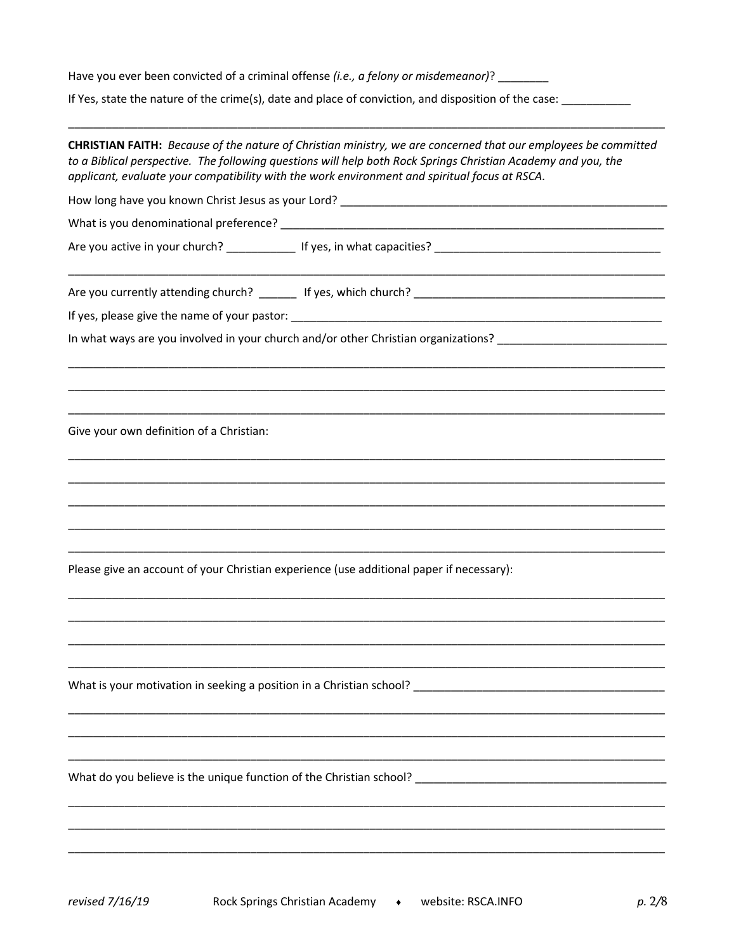Have you ever been convicted of a criminal offense (i.e., a felony or misdemeanor)? \_\_\_\_\_\_\_\_

If Yes, state the nature of the crime(s), date and place of conviction, and disposition of the case: \_\_\_\_\_\_\_\_\_

| CHRISTIAN FAITH: Because of the nature of Christian ministry, we are concerned that our employees be committed<br>to a Biblical perspective. The following questions will help both Rock Springs Christian Academy and you, the<br>applicant, evaluate your compatibility with the work environment and spiritual focus at RSCA. |  |  |  |  |  |
|----------------------------------------------------------------------------------------------------------------------------------------------------------------------------------------------------------------------------------------------------------------------------------------------------------------------------------|--|--|--|--|--|
|                                                                                                                                                                                                                                                                                                                                  |  |  |  |  |  |
|                                                                                                                                                                                                                                                                                                                                  |  |  |  |  |  |
|                                                                                                                                                                                                                                                                                                                                  |  |  |  |  |  |
|                                                                                                                                                                                                                                                                                                                                  |  |  |  |  |  |
|                                                                                                                                                                                                                                                                                                                                  |  |  |  |  |  |
| In what ways are you involved in your church and/or other Christian organizations?                                                                                                                                                                                                                                               |  |  |  |  |  |
|                                                                                                                                                                                                                                                                                                                                  |  |  |  |  |  |
| Give your own definition of a Christian:                                                                                                                                                                                                                                                                                         |  |  |  |  |  |
|                                                                                                                                                                                                                                                                                                                                  |  |  |  |  |  |
|                                                                                                                                                                                                                                                                                                                                  |  |  |  |  |  |
|                                                                                                                                                                                                                                                                                                                                  |  |  |  |  |  |
|                                                                                                                                                                                                                                                                                                                                  |  |  |  |  |  |
| Please give an account of your Christian experience (use additional paper if necessary):                                                                                                                                                                                                                                         |  |  |  |  |  |
|                                                                                                                                                                                                                                                                                                                                  |  |  |  |  |  |
|                                                                                                                                                                                                                                                                                                                                  |  |  |  |  |  |
| What is your motivation in seeking a position in a Christian school?                                                                                                                                                                                                                                                             |  |  |  |  |  |
|                                                                                                                                                                                                                                                                                                                                  |  |  |  |  |  |
| What do you believe is the unique function of the Christian school?                                                                                                                                                                                                                                                              |  |  |  |  |  |
|                                                                                                                                                                                                                                                                                                                                  |  |  |  |  |  |
|                                                                                                                                                                                                                                                                                                                                  |  |  |  |  |  |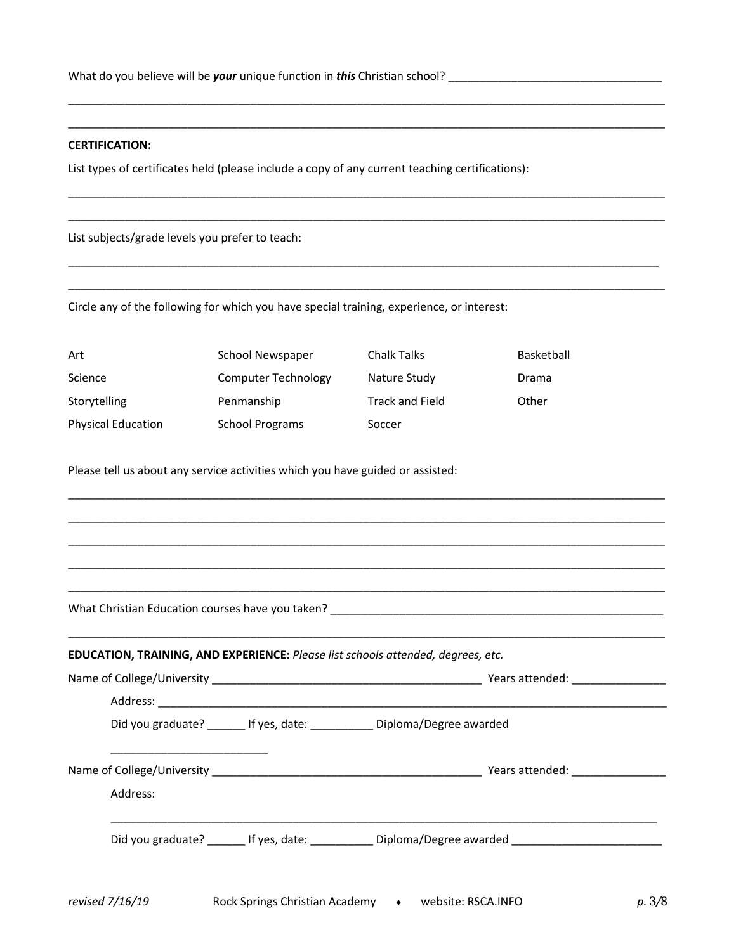#### **CERTIFICATION:**

List types of certificates held (please include a copy of any current teaching certifications):

\_\_\_\_\_\_\_\_\_\_\_\_\_\_\_\_\_\_\_\_\_\_\_\_\_\_\_\_\_\_\_\_\_\_\_\_\_\_\_\_\_\_\_\_\_\_\_\_\_\_\_\_\_\_\_\_\_\_\_\_\_\_\_\_\_\_\_\_\_\_\_\_\_\_\_\_\_\_\_\_\_\_\_\_\_\_\_\_\_\_\_\_\_\_\_ \_\_\_\_\_\_\_\_\_\_\_\_\_\_\_\_\_\_\_\_\_\_\_\_\_\_\_\_\_\_\_\_\_\_\_\_\_\_\_\_\_\_\_\_\_\_\_\_\_\_\_\_\_\_\_\_\_\_\_\_\_\_\_\_\_\_\_\_\_\_\_\_\_\_\_\_\_\_\_\_\_\_\_\_\_\_\_\_\_\_\_\_\_\_\_

\_\_\_\_\_\_\_\_\_\_\_\_\_\_\_\_\_\_\_\_\_\_\_\_\_\_\_\_\_\_\_\_\_\_\_\_\_\_\_\_\_\_\_\_\_\_\_\_\_\_\_\_\_\_\_\_\_\_\_\_\_\_\_\_\_\_\_\_\_\_\_\_\_\_\_\_\_\_\_\_\_\_\_\_\_\_\_\_\_\_\_\_\_\_\_ \_\_\_\_\_\_\_\_\_\_\_\_\_\_\_\_\_\_\_\_\_\_\_\_\_\_\_\_\_\_\_\_\_\_\_\_\_\_\_\_\_\_\_\_\_\_\_\_\_\_\_\_\_\_\_\_\_\_\_\_\_\_\_\_\_\_\_\_\_\_\_\_\_\_\_\_\_\_\_\_\_\_\_\_\_\_\_\_\_\_\_\_\_\_\_

\_\_\_\_\_\_\_\_\_\_\_\_\_\_\_\_\_\_\_\_\_\_\_\_\_\_\_\_\_\_\_\_\_\_\_\_\_\_\_\_\_\_\_\_\_\_\_\_\_\_\_\_\_\_\_\_\_\_\_\_\_\_\_\_\_\_\_\_\_\_\_\_\_\_\_\_\_\_\_\_\_\_\_\_\_\_\_\_\_\_\_\_\_\_ \_\_\_\_\_\_\_\_\_\_\_\_\_\_\_\_\_\_\_\_\_\_\_\_\_\_\_\_\_\_\_\_\_\_\_\_\_\_\_\_\_\_\_\_\_\_\_\_\_\_\_\_\_\_\_\_\_\_\_\_\_\_\_\_\_\_\_\_\_\_\_\_\_\_\_\_\_\_\_\_\_\_\_\_\_\_\_\_\_\_\_\_\_\_\_

\_\_\_\_\_\_\_\_\_\_\_\_\_\_\_\_\_\_\_\_\_\_\_\_\_\_\_\_\_\_\_\_\_\_\_\_\_\_\_\_\_\_\_\_\_\_\_\_\_\_\_\_\_\_\_\_\_\_\_\_\_\_\_\_\_\_\_\_\_\_\_\_\_\_\_\_\_\_\_\_\_\_\_\_\_\_\_\_\_\_\_\_\_\_\_ \_\_\_\_\_\_\_\_\_\_\_\_\_\_\_\_\_\_\_\_\_\_\_\_\_\_\_\_\_\_\_\_\_\_\_\_\_\_\_\_\_\_\_\_\_\_\_\_\_\_\_\_\_\_\_\_\_\_\_\_\_\_\_\_\_\_\_\_\_\_\_\_\_\_\_\_\_\_\_\_\_\_\_\_\_\_\_\_\_\_\_\_\_\_\_ \_\_\_\_\_\_\_\_\_\_\_\_\_\_\_\_\_\_\_\_\_\_\_\_\_\_\_\_\_\_\_\_\_\_\_\_\_\_\_\_\_\_\_\_\_\_\_\_\_\_\_\_\_\_\_\_\_\_\_\_\_\_\_\_\_\_\_\_\_\_\_\_\_\_\_\_\_\_\_\_\_\_\_\_\_\_\_\_\_\_\_\_\_\_\_ \_\_\_\_\_\_\_\_\_\_\_\_\_\_\_\_\_\_\_\_\_\_\_\_\_\_\_\_\_\_\_\_\_\_\_\_\_\_\_\_\_\_\_\_\_\_\_\_\_\_\_\_\_\_\_\_\_\_\_\_\_\_\_\_\_\_\_\_\_\_\_\_\_\_\_\_\_\_\_\_\_\_\_\_\_\_\_\_\_\_\_\_\_\_\_ \_\_\_\_\_\_\_\_\_\_\_\_\_\_\_\_\_\_\_\_\_\_\_\_\_\_\_\_\_\_\_\_\_\_\_\_\_\_\_\_\_\_\_\_\_\_\_\_\_\_\_\_\_\_\_\_\_\_\_\_\_\_\_\_\_\_\_\_\_\_\_\_\_\_\_\_\_\_\_\_\_\_\_\_\_\_\_\_\_\_\_\_\_\_\_

List subjects/grade levels you prefer to teach:

Circle any of the following for which you have special training, experience, or interest:

| Art                       | School Newspaper           | <b>Chalk Talks</b>     | Basketball |
|---------------------------|----------------------------|------------------------|------------|
| Science                   | <b>Computer Technology</b> | Nature Study           | Drama      |
| Storytelling              | Penmanship                 | <b>Track and Field</b> | Other      |
| <b>Physical Education</b> | School Programs            | Soccer                 |            |

Please tell us about any service activities which you have guided or assisted:

What Christian Education courses have you taken? \_\_\_\_\_\_\_\_\_\_\_\_\_\_\_\_\_\_\_\_\_\_\_\_\_\_\_\_\_\_\_\_\_\_\_\_\_\_\_\_\_\_\_\_\_\_\_\_\_\_\_\_\_

#### **EDUCATION, TRAINING, AND EXPERIENCE:** *Please list schools attended, degrees, etc.*

|                                 |                                                        | Years attended: _________________      |  |  |
|---------------------------------|--------------------------------------------------------|----------------------------------------|--|--|
|                                 | Did you graduate? If yes, date: Diploma/Degree awarded |                                        |  |  |
| Address:                        |                                                        | Years attended: Nearly Means attended: |  |  |
| Did you graduate? If yes, date: | Diploma/Degree awarded                                 |                                        |  |  |

\_\_\_\_\_\_\_\_\_\_\_\_\_\_\_\_\_\_\_\_\_\_\_\_\_\_\_\_\_\_\_\_\_\_\_\_\_\_\_\_\_\_\_\_\_\_\_\_\_\_\_\_\_\_\_\_\_\_\_\_\_\_\_\_\_\_\_\_\_\_\_\_\_\_\_\_\_\_\_\_\_\_\_\_\_\_\_\_\_\_\_\_\_\_\_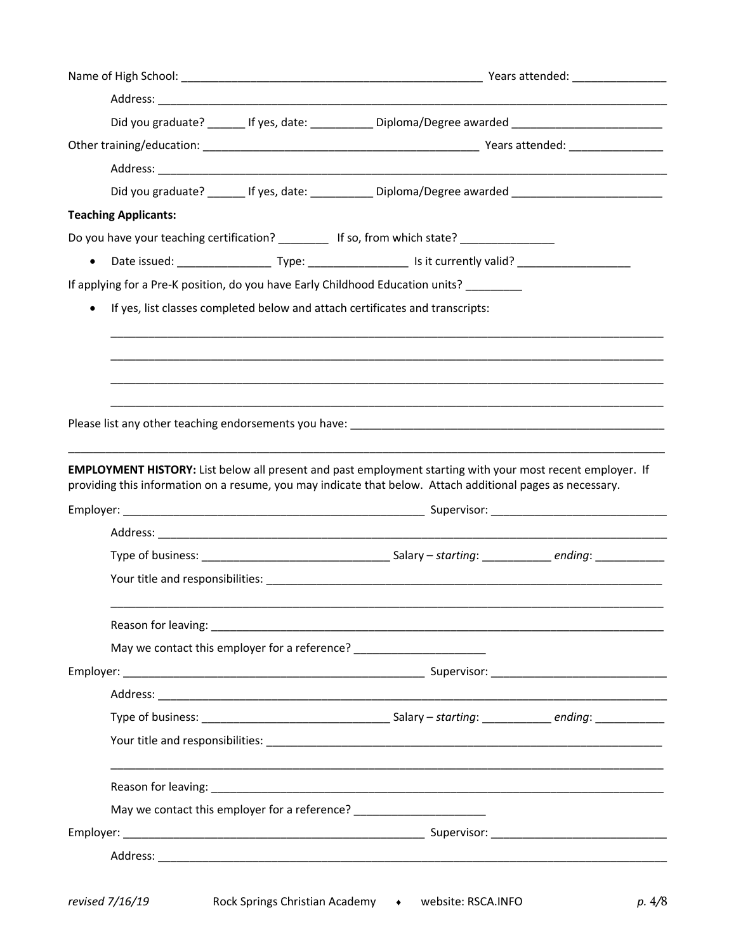|                             |  | Did you graduate? ________ If yes, date: ______________ Diploma/Degree awarded _______________________________    |  |  |
|-----------------------------|--|-------------------------------------------------------------------------------------------------------------------|--|--|
|                             |  |                                                                                                                   |  |  |
|                             |  |                                                                                                                   |  |  |
|                             |  | Did you graduate? ________ If yes, date: _____________Diploma/Degree awarded _______________________              |  |  |
| <b>Teaching Applicants:</b> |  |                                                                                                                   |  |  |
|                             |  | Do you have your teaching certification? _____________ If so, from which state? ___________________               |  |  |
| $\bullet$                   |  |                                                                                                                   |  |  |
|                             |  | If applying for a Pre-K position, do you have Early Childhood Education units?                                    |  |  |
|                             |  | If yes, list classes completed below and attach certificates and transcripts:                                     |  |  |
|                             |  |                                                                                                                   |  |  |
|                             |  |                                                                                                                   |  |  |
|                             |  |                                                                                                                   |  |  |
|                             |  |                                                                                                                   |  |  |
|                             |  |                                                                                                                   |  |  |
|                             |  |                                                                                                                   |  |  |
|                             |  |                                                                                                                   |  |  |
|                             |  | <b>EMPLOYMENT HISTORY:</b> List below all present and past employment starting with your most recent employer. If |  |  |
|                             |  | providing this information on a resume, you may indicate that below. Attach additional pages as necessary.        |  |  |
|                             |  |                                                                                                                   |  |  |
|                             |  |                                                                                                                   |  |  |
|                             |  |                                                                                                                   |  |  |
|                             |  |                                                                                                                   |  |  |
|                             |  |                                                                                                                   |  |  |
|                             |  |                                                                                                                   |  |  |
|                             |  | May we contact this employer for a reference? __________________________________                                  |  |  |
|                             |  |                                                                                                                   |  |  |
|                             |  |                                                                                                                   |  |  |
|                             |  |                                                                                                                   |  |  |
|                             |  |                                                                                                                   |  |  |
|                             |  |                                                                                                                   |  |  |
|                             |  |                                                                                                                   |  |  |
|                             |  | May we contact this employer for a reference? __________________________________                                  |  |  |
|                             |  |                                                                                                                   |  |  |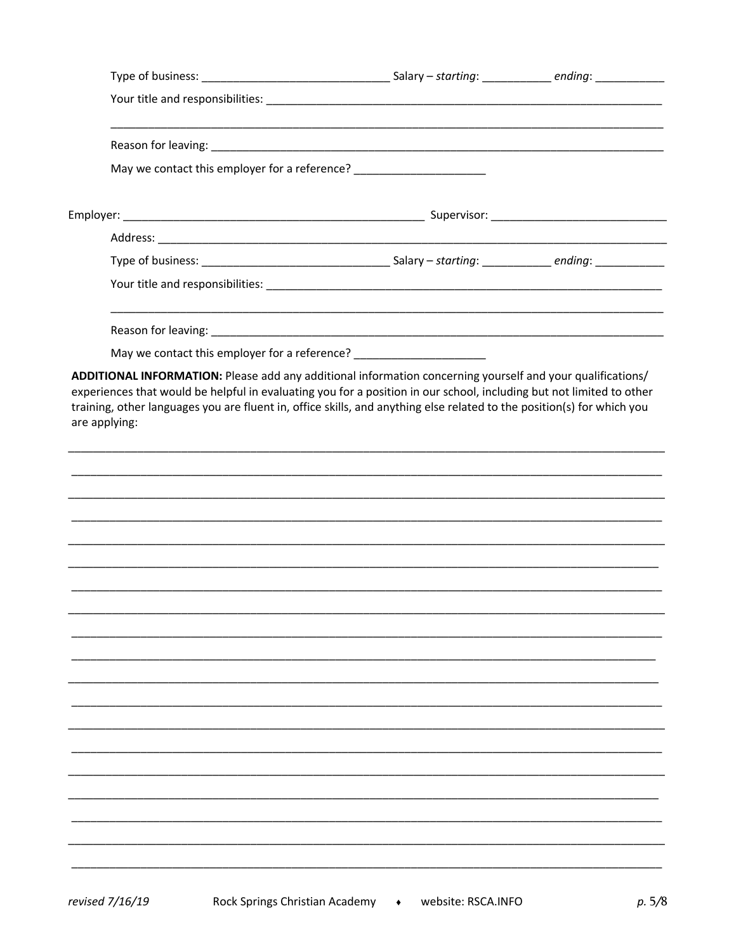| May we contact this employer for a reference? _______________________                                                                   |  |
|-----------------------------------------------------------------------------------------------------------------------------------------|--|
|                                                                                                                                         |  |
|                                                                                                                                         |  |
|                                                                                                                                         |  |
|                                                                                                                                         |  |
|                                                                                                                                         |  |
| May we contact this employer for a reference? __________________________________                                                        |  |
| training, other languages you are fluent in, office skills, and anything else related to the position(s) for which you<br>are applying: |  |
|                                                                                                                                         |  |
|                                                                                                                                         |  |
|                                                                                                                                         |  |
|                                                                                                                                         |  |
|                                                                                                                                         |  |
|                                                                                                                                         |  |
|                                                                                                                                         |  |
|                                                                                                                                         |  |
|                                                                                                                                         |  |
|                                                                                                                                         |  |
|                                                                                                                                         |  |
|                                                                                                                                         |  |
|                                                                                                                                         |  |
|                                                                                                                                         |  |
|                                                                                                                                         |  |
|                                                                                                                                         |  |
|                                                                                                                                         |  |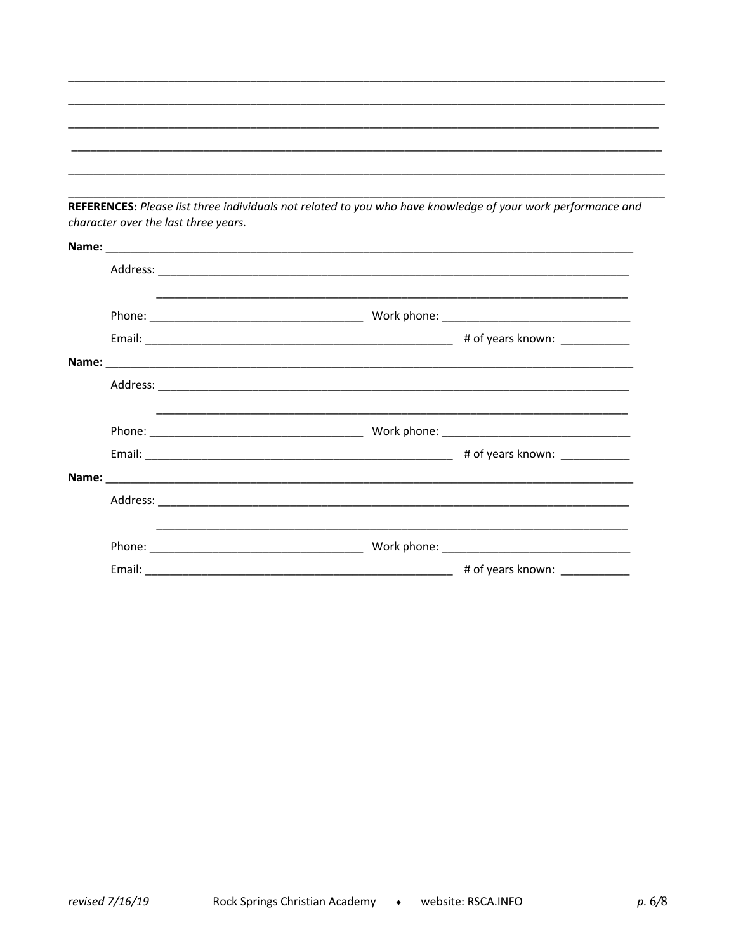REFERENCES: Please list three individuals not related to you who have knowledge of your work performance and character over the last three years.

|  | <u> 1989 - Andrea Santa Alemania, amerikana amerikana amerikana amerikana amerikana amerikana amerikana amerikan</u> |  |
|--|----------------------------------------------------------------------------------------------------------------------|--|
|  |                                                                                                                      |  |
|  |                                                                                                                      |  |
|  |                                                                                                                      |  |
|  | <u> 1999 - Jan Samuel Barbara, margaret eta bat erroman erroman erroman erroman ez erroman ez erroman ez ez ez e</u> |  |
|  |                                                                                                                      |  |
|  |                                                                                                                      |  |
|  |                                                                                                                      |  |
|  |                                                                                                                      |  |
|  |                                                                                                                      |  |
|  |                                                                                                                      |  |
|  |                                                                                                                      |  |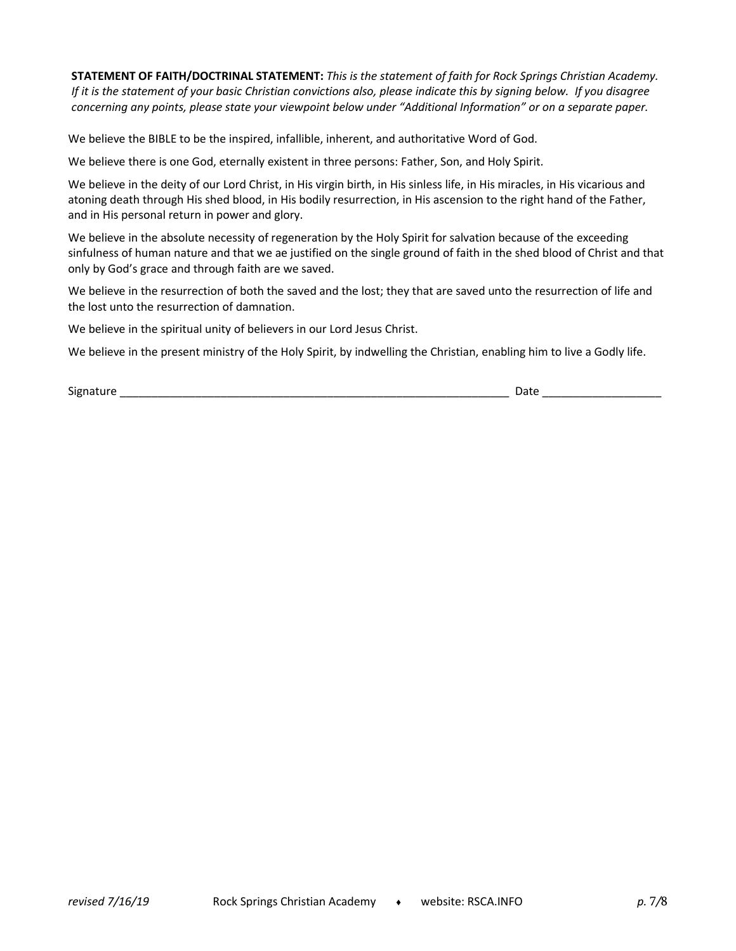**STATEMENT OF FAITH/DOCTRINAL STATEMENT:** *This is the statement of faith for Rock Springs Christian Academy. If it is the statement of your basic Christian convictions also, please indicate this by signing below. If you disagree concerning any points, please state your viewpoint below under "Additional Information" or on a separate paper.*

We believe the BIBLE to be the inspired, infallible, inherent, and authoritative Word of God.

We believe there is one God, eternally existent in three persons: Father, Son, and Holy Spirit.

We believe in the deity of our Lord Christ, in His virgin birth, in His sinless life, in His miracles, in His vicarious and atoning death through His shed blood, in His bodily resurrection, in His ascension to the right hand of the Father, and in His personal return in power and glory.

We believe in the absolute necessity of regeneration by the Holy Spirit for salvation because of the exceeding sinfulness of human nature and that we ae justified on the single ground of faith in the shed blood of Christ and that only by God's grace and through faith are we saved.

We believe in the resurrection of both the saved and the lost; they that are saved unto the resurrection of life and the lost unto the resurrection of damnation.

We believe in the spiritual unity of believers in our Lord Jesus Christ.

We believe in the present ministry of the Holy Spirit, by indwelling the Christian, enabling him to live a Godly life.

Signature \_\_\_\_\_\_\_\_\_\_\_\_\_\_\_\_\_\_\_\_\_\_\_\_\_\_\_\_\_\_\_\_\_\_\_\_\_\_\_\_\_\_\_\_\_\_\_\_\_\_\_\_\_\_\_\_\_\_\_\_\_\_ Date \_\_\_\_\_\_\_\_\_\_\_\_\_\_\_\_\_\_\_